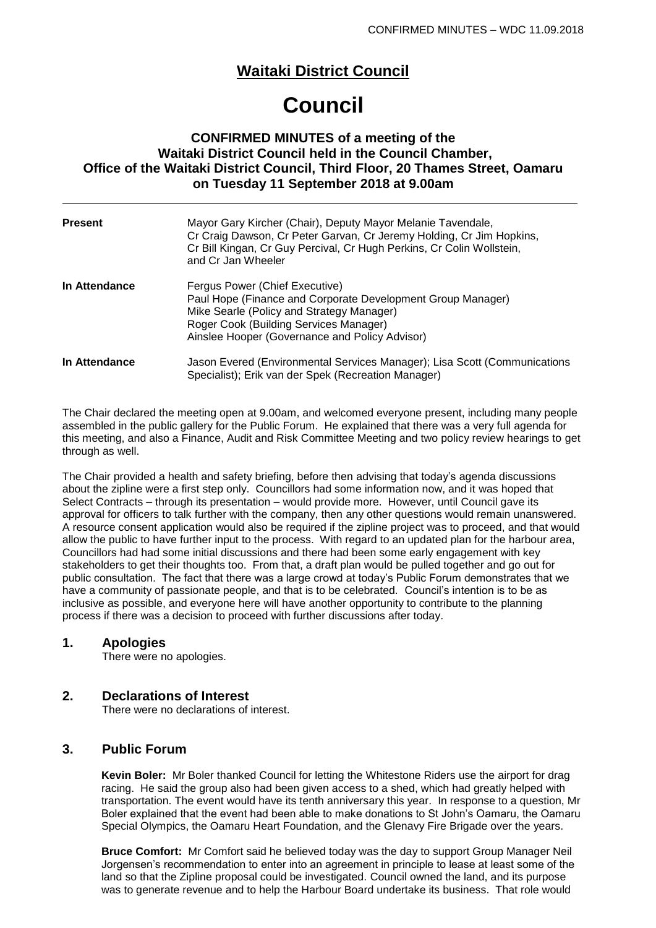# **Waitaki District Council**

# **Council**

## **CONFIRMED MINUTES of a meeting of the Waitaki District Council held in the Council Chamber, Office of the Waitaki District Council, Third Floor, 20 Thames Street, Oamaru on Tuesday 11 September 2018 at 9.00am**

| <b>Present</b> | Mayor Gary Kircher (Chair), Deputy Mayor Melanie Tavendale,<br>Cr Craig Dawson, Cr Peter Garvan, Cr Jeremy Holding, Cr Jim Hopkins,<br>Cr Bill Kingan, Cr Guy Percival, Cr Hugh Perkins, Cr Colin Wollstein,<br>and Cr Jan Wheeler     |
|----------------|----------------------------------------------------------------------------------------------------------------------------------------------------------------------------------------------------------------------------------------|
| In Attendance  | Fergus Power (Chief Executive)<br>Paul Hope (Finance and Corporate Development Group Manager)<br>Mike Searle (Policy and Strategy Manager)<br>Roger Cook (Building Services Manager)<br>Ainslee Hooper (Governance and Policy Advisor) |
| In Attendance  | Jason Evered (Environmental Services Manager); Lisa Scott (Communications<br>Specialist); Erik van der Spek (Recreation Manager)                                                                                                       |

The Chair declared the meeting open at 9.00am, and welcomed everyone present, including many people assembled in the public gallery for the Public Forum. He explained that there was a very full agenda for this meeting, and also a Finance, Audit and Risk Committee Meeting and two policy review hearings to get through as well.

The Chair provided a health and safety briefing, before then advising that today's agenda discussions about the zipline were a first step only. Councillors had some information now, and it was hoped that Select Contracts – through its presentation – would provide more. However, until Council gave its approval for officers to talk further with the company, then any other questions would remain unanswered. A resource consent application would also be required if the zipline project was to proceed, and that would allow the public to have further input to the process. With regard to an updated plan for the harbour area, Councillors had had some initial discussions and there had been some early engagement with key stakeholders to get their thoughts too. From that, a draft plan would be pulled together and go out for public consultation. The fact that there was a large crowd at today's Public Forum demonstrates that we have a community of passionate people, and that is to be celebrated. Council's intention is to be as inclusive as possible, and everyone here will have another opportunity to contribute to the planning process if there was a decision to proceed with further discussions after today.

#### **1. Apologies**

There were no apologies.

### **2. Declarations of Interest**

There were no declarations of interest.

### **3. Public Forum**

**Kevin Boler:** Mr Boler thanked Council for letting the Whitestone Riders use the airport for drag racing. He said the group also had been given access to a shed, which had greatly helped with transportation. The event would have its tenth anniversary this year. In response to a question, Mr Boler explained that the event had been able to make donations to St John's Oamaru, the Oamaru Special Olympics, the Oamaru Heart Foundation, and the Glenavy Fire Brigade over the years.

**Bruce Comfort:** Mr Comfort said he believed today was the day to support Group Manager Neil Jorgensen's recommendation to enter into an agreement in principle to lease at least some of the land so that the Zipline proposal could be investigated. Council owned the land, and its purpose was to generate revenue and to help the Harbour Board undertake its business. That role would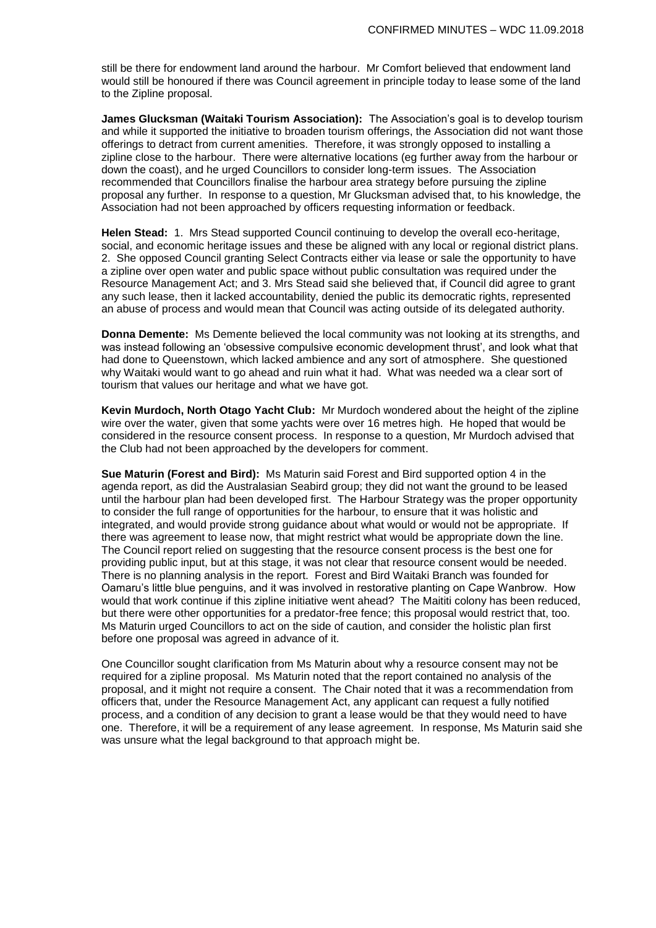still be there for endowment land around the harbour. Mr Comfort believed that endowment land would still be honoured if there was Council agreement in principle today to lease some of the land to the Zipline proposal.

**James Glucksman (Waitaki Tourism Association):** The Association's goal is to develop tourism and while it supported the initiative to broaden tourism offerings, the Association did not want those offerings to detract from current amenities. Therefore, it was strongly opposed to installing a zipline close to the harbour. There were alternative locations (eg further away from the harbour or down the coast), and he urged Councillors to consider long-term issues. The Association recommended that Councillors finalise the harbour area strategy before pursuing the zipline proposal any further. In response to a question, Mr Glucksman advised that, to his knowledge, the Association had not been approached by officers requesting information or feedback.

**Helen Stead:** 1. Mrs Stead supported Council continuing to develop the overall eco-heritage, social, and economic heritage issues and these be aligned with any local or regional district plans. 2. She opposed Council granting Select Contracts either via lease or sale the opportunity to have a zipline over open water and public space without public consultation was required under the Resource Management Act; and 3. Mrs Stead said she believed that, if Council did agree to grant any such lease, then it lacked accountability, denied the public its democratic rights, represented an abuse of process and would mean that Council was acting outside of its delegated authority.

**Donna Demente:** Ms Demente believed the local community was not looking at its strengths, and was instead following an 'obsessive compulsive economic development thrust', and look what that had done to Queenstown, which lacked ambience and any sort of atmosphere. She questioned why Waitaki would want to go ahead and ruin what it had. What was needed wa a clear sort of tourism that values our heritage and what we have got.

**Kevin Murdoch, North Otago Yacht Club:** Mr Murdoch wondered about the height of the zipline wire over the water, given that some yachts were over 16 metres high. He hoped that would be considered in the resource consent process. In response to a question, Mr Murdoch advised that the Club had not been approached by the developers for comment.

**Sue Maturin (Forest and Bird):** Ms Maturin said Forest and Bird supported option 4 in the agenda report, as did the Australasian Seabird group; they did not want the ground to be leased until the harbour plan had been developed first. The Harbour Strategy was the proper opportunity to consider the full range of opportunities for the harbour, to ensure that it was holistic and integrated, and would provide strong guidance about what would or would not be appropriate. If there was agreement to lease now, that might restrict what would be appropriate down the line. The Council report relied on suggesting that the resource consent process is the best one for providing public input, but at this stage, it was not clear that resource consent would be needed. There is no planning analysis in the report. Forest and Bird Waitaki Branch was founded for Oamaru's little blue penguins, and it was involved in restorative planting on Cape Wanbrow. How would that work continue if this zipline initiative went ahead? The Maititi colony has been reduced, but there were other opportunities for a predator-free fence; this proposal would restrict that, too. Ms Maturin urged Councillors to act on the side of caution, and consider the holistic plan first before one proposal was agreed in advance of it.

One Councillor sought clarification from Ms Maturin about why a resource consent may not be required for a zipline proposal. Ms Maturin noted that the report contained no analysis of the proposal, and it might not require a consent. The Chair noted that it was a recommendation from officers that, under the Resource Management Act, any applicant can request a fully notified process, and a condition of any decision to grant a lease would be that they would need to have one. Therefore, it will be a requirement of any lease agreement. In response, Ms Maturin said she was unsure what the legal background to that approach might be.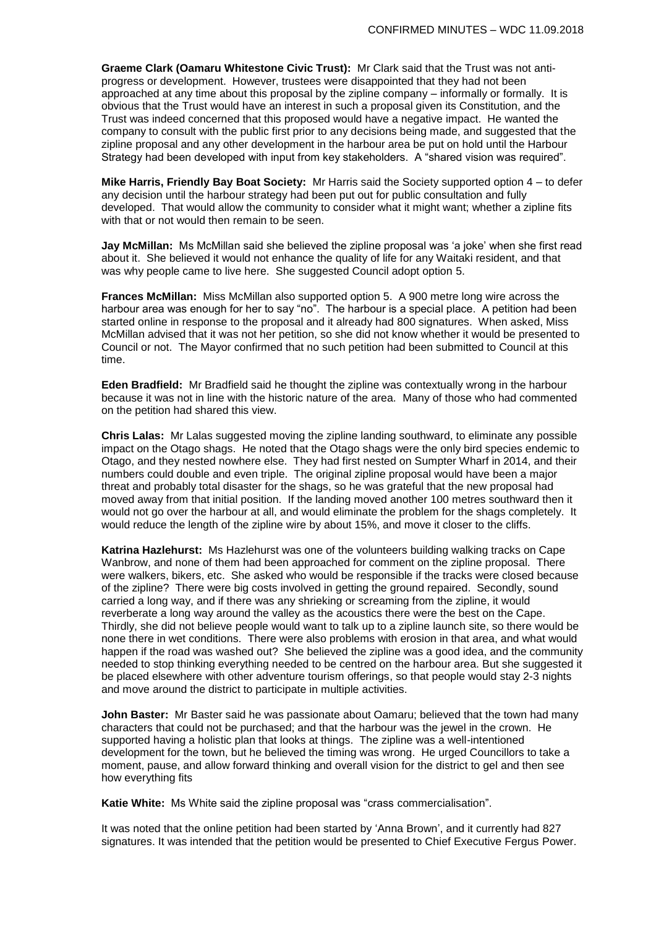**Graeme Clark (Oamaru Whitestone Civic Trust):** Mr Clark said that the Trust was not antiprogress or development. However, trustees were disappointed that they had not been approached at any time about this proposal by the zipline company – informally or formally. It is obvious that the Trust would have an interest in such a proposal given its Constitution, and the Trust was indeed concerned that this proposed would have a negative impact. He wanted the company to consult with the public first prior to any decisions being made, and suggested that the zipline proposal and any other development in the harbour area be put on hold until the Harbour Strategy had been developed with input from key stakeholders. A "shared vision was required".

**Mike Harris, Friendly Bay Boat Society:** Mr Harris said the Society supported option 4 – to defer any decision until the harbour strategy had been put out for public consultation and fully developed. That would allow the community to consider what it might want; whether a zipline fits with that or not would then remain to be seen.

**Jay McMillan:** Ms McMillan said she believed the zipline proposal was 'a joke' when she first read about it. She believed it would not enhance the quality of life for any Waitaki resident, and that was why people came to live here. She suggested Council adopt option 5.

**Frances McMillan:** Miss McMillan also supported option 5. A 900 metre long wire across the harbour area was enough for her to say "no". The harbour is a special place. A petition had been started online in response to the proposal and it already had 800 signatures. When asked, Miss McMillan advised that it was not her petition, so she did not know whether it would be presented to Council or not. The Mayor confirmed that no such petition had been submitted to Council at this time.

**Eden Bradfield:** Mr Bradfield said he thought the zipline was contextually wrong in the harbour because it was not in line with the historic nature of the area. Many of those who had commented on the petition had shared this view.

**Chris Lalas:** Mr Lalas suggested moving the zipline landing southward, to eliminate any possible impact on the Otago shags. He noted that the Otago shags were the only bird species endemic to Otago, and they nested nowhere else. They had first nested on Sumpter Wharf in 2014, and their numbers could double and even triple. The original zipline proposal would have been a major threat and probably total disaster for the shags, so he was grateful that the new proposal had moved away from that initial position. If the landing moved another 100 metres southward then it would not go over the harbour at all, and would eliminate the problem for the shags completely. It would reduce the length of the zipline wire by about 15%, and move it closer to the cliffs.

**Katrina Hazlehurst:** Ms Hazlehurst was one of the volunteers building walking tracks on Cape Wanbrow, and none of them had been approached for comment on the zipline proposal. There were walkers, bikers, etc. She asked who would be responsible if the tracks were closed because of the zipline? There were big costs involved in getting the ground repaired. Secondly, sound carried a long way, and if there was any shrieking or screaming from the zipline, it would reverberate a long way around the valley as the acoustics there were the best on the Cape. Thirdly, she did not believe people would want to talk up to a zipline launch site, so there would be none there in wet conditions. There were also problems with erosion in that area, and what would happen if the road was washed out? She believed the zipline was a good idea, and the community needed to stop thinking everything needed to be centred on the harbour area. But she suggested it be placed elsewhere with other adventure tourism offerings, so that people would stay 2-3 nights and move around the district to participate in multiple activities.

**John Baster:** Mr Baster said he was passionate about Oamaru; believed that the town had many characters that could not be purchased; and that the harbour was the jewel in the crown. He supported having a holistic plan that looks at things. The zipline was a well-intentioned development for the town, but he believed the timing was wrong. He urged Councillors to take a moment, pause, and allow forward thinking and overall vision for the district to gel and then see how everything fits

**Katie White:** Ms White said the zipline proposal was "crass commercialisation".

It was noted that the online petition had been started by 'Anna Brown', and it currently had 827 signatures. It was intended that the petition would be presented to Chief Executive Fergus Power.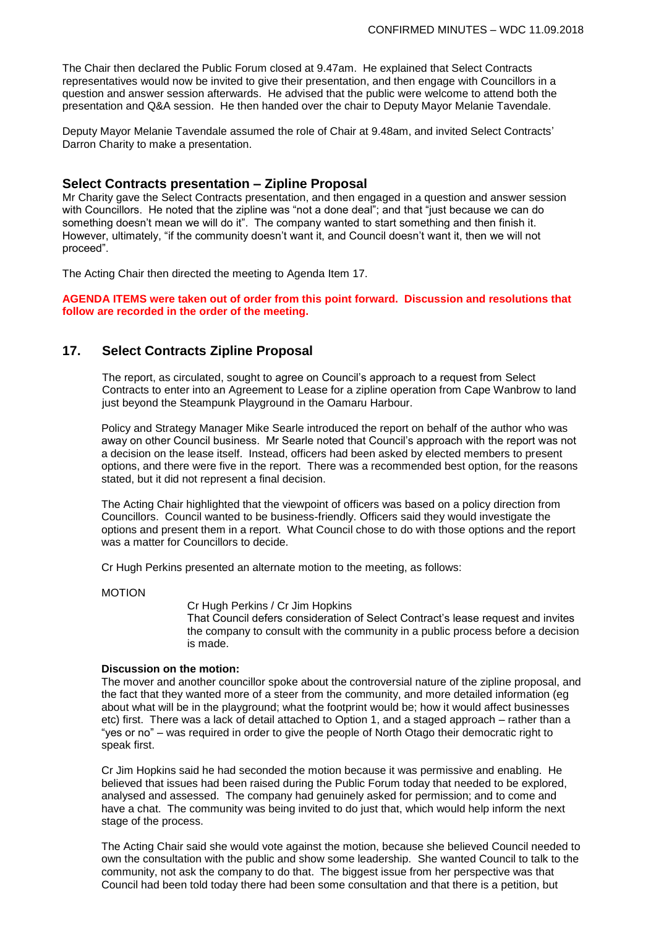The Chair then declared the Public Forum closed at 9.47am. He explained that Select Contracts representatives would now be invited to give their presentation, and then engage with Councillors in a question and answer session afterwards. He advised that the public were welcome to attend both the presentation and Q&A session. He then handed over the chair to Deputy Mayor Melanie Tavendale.

Deputy Mayor Melanie Tavendale assumed the role of Chair at 9.48am, and invited Select Contracts' Darron Charity to make a presentation.

#### **Select Contracts presentation – Zipline Proposal**

Mr Charity gave the Select Contracts presentation, and then engaged in a question and answer session with Councillors. He noted that the zipline was "not a done deal"; and that "just because we can do something doesn't mean we will do it". The company wanted to start something and then finish it. However, ultimately, "if the community doesn't want it, and Council doesn't want it, then we will not proceed".

The Acting Chair then directed the meeting to Agenda Item 17.

**AGENDA ITEMS were taken out of order from this point forward. Discussion and resolutions that follow are recorded in the order of the meeting.**

#### **17. Select Contracts Zipline Proposal**

The report, as circulated, sought to agree on Council's approach to a request from Select Contracts to enter into an Agreement to Lease for a zipline operation from Cape Wanbrow to land just beyond the Steampunk Playground in the Oamaru Harbour.

Policy and Strategy Manager Mike Searle introduced the report on behalf of the author who was away on other Council business. Mr Searle noted that Council's approach with the report was not a decision on the lease itself. Instead, officers had been asked by elected members to present options, and there were five in the report. There was a recommended best option, for the reasons stated, but it did not represent a final decision.

The Acting Chair highlighted that the viewpoint of officers was based on a policy direction from Councillors. Council wanted to be business-friendly. Officers said they would investigate the options and present them in a report. What Council chose to do with those options and the report was a matter for Councillors to decide.

Cr Hugh Perkins presented an alternate motion to the meeting, as follows:

#### MOTION

Cr Hugh Perkins / Cr Jim Hopkins

That Council defers consideration of Select Contract's lease request and invites the company to consult with the community in a public process before a decision is made.

#### **Discussion on the motion:**

The mover and another councillor spoke about the controversial nature of the zipline proposal, and the fact that they wanted more of a steer from the community, and more detailed information (eg about what will be in the playground; what the footprint would be; how it would affect businesses etc) first. There was a lack of detail attached to Option 1, and a staged approach – rather than a "yes or no" – was required in order to give the people of North Otago their democratic right to speak first.

Cr Jim Hopkins said he had seconded the motion because it was permissive and enabling. He believed that issues had been raised during the Public Forum today that needed to be explored, analysed and assessed. The company had genuinely asked for permission; and to come and have a chat. The community was being invited to do just that, which would help inform the next stage of the process.

The Acting Chair said she would vote against the motion, because she believed Council needed to own the consultation with the public and show some leadership. She wanted Council to talk to the community, not ask the company to do that. The biggest issue from her perspective was that Council had been told today there had been some consultation and that there is a petition, but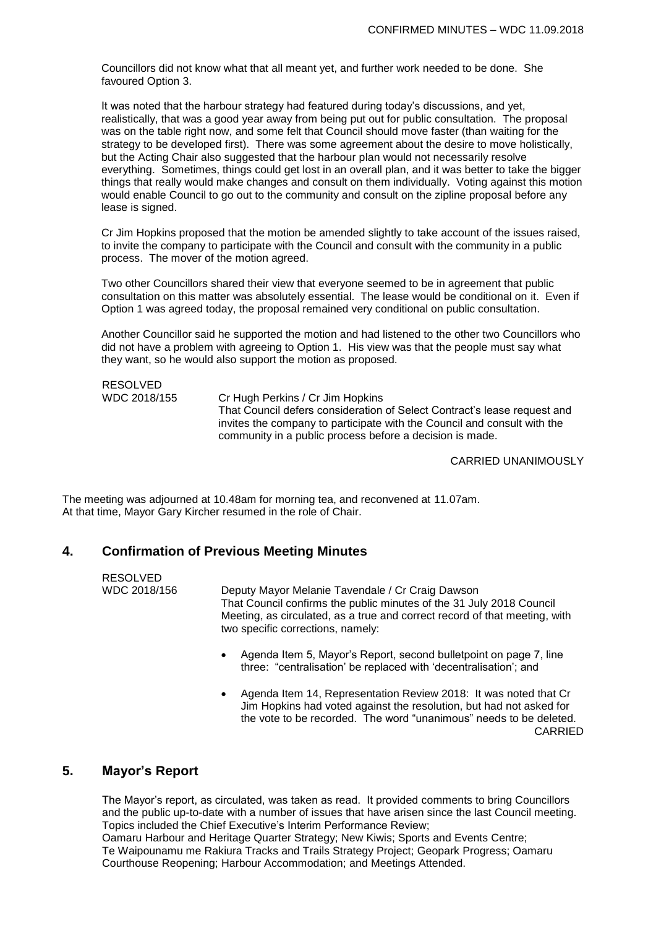Councillors did not know what that all meant yet, and further work needed to be done. She favoured Option 3.

It was noted that the harbour strategy had featured during today's discussions, and yet, realistically, that was a good year away from being put out for public consultation. The proposal was on the table right now, and some felt that Council should move faster (than waiting for the strategy to be developed first). There was some agreement about the desire to move holistically, but the Acting Chair also suggested that the harbour plan would not necessarily resolve everything. Sometimes, things could get lost in an overall plan, and it was better to take the bigger things that really would make changes and consult on them individually. Voting against this motion would enable Council to go out to the community and consult on the zipline proposal before any lease is signed.

Cr Jim Hopkins proposed that the motion be amended slightly to take account of the issues raised, to invite the company to participate with the Council and consult with the community in a public process. The mover of the motion agreed.

Two other Councillors shared their view that everyone seemed to be in agreement that public consultation on this matter was absolutely essential. The lease would be conditional on it. Even if Option 1 was agreed today, the proposal remained very conditional on public consultation.

Another Councillor said he supported the motion and had listened to the other two Councillors who did not have a problem with agreeing to Option 1. His view was that the people must say what they want, so he would also support the motion as proposed.

RESOLVED<br>WDC 2018/155

Cr Hugh Perkins / Cr Jim Hopkins That Council defers consideration of Select Contract's lease request and invites the company to participate with the Council and consult with the community in a public process before a decision is made.

CARRIED UNANIMOUSLY

The meeting was adjourned at 10.48am for morning tea, and reconvened at 11.07am. At that time, Mayor Gary Kircher resumed in the role of Chair.

## **4. Confirmation of Previous Meeting Minutes**

RESOLVED WDC 2018/156 Deputy Mayor Melanie Tavendale / Cr Craig Dawson That Council confirms the public minutes of the 31 July 2018 Council Meeting, as circulated, as a true and correct record of that meeting, with two specific corrections, namely:

- Agenda Item 5, Mayor's Report, second bulletpoint on page 7, line three: "centralisation' be replaced with 'decentralisation'; and
- Agenda Item 14, Representation Review 2018: It was noted that Cr Jim Hopkins had voted against the resolution, but had not asked for the vote to be recorded. The word "unanimous" needs to be deleted. CARRIED

#### **5. Mayor's Report**

The Mayor's report, as circulated, was taken as read. It provided comments to bring Councillors and the public up-to-date with a number of issues that have arisen since the last Council meeting. Topics included the Chief Executive's Interim Performance Review;

Oamaru Harbour and Heritage Quarter Strategy; New Kiwis; Sports and Events Centre; Te Waipounamu me Rakiura Tracks and Trails Strategy Project; Geopark Progress; Oamaru Courthouse Reopening; Harbour Accommodation; and Meetings Attended.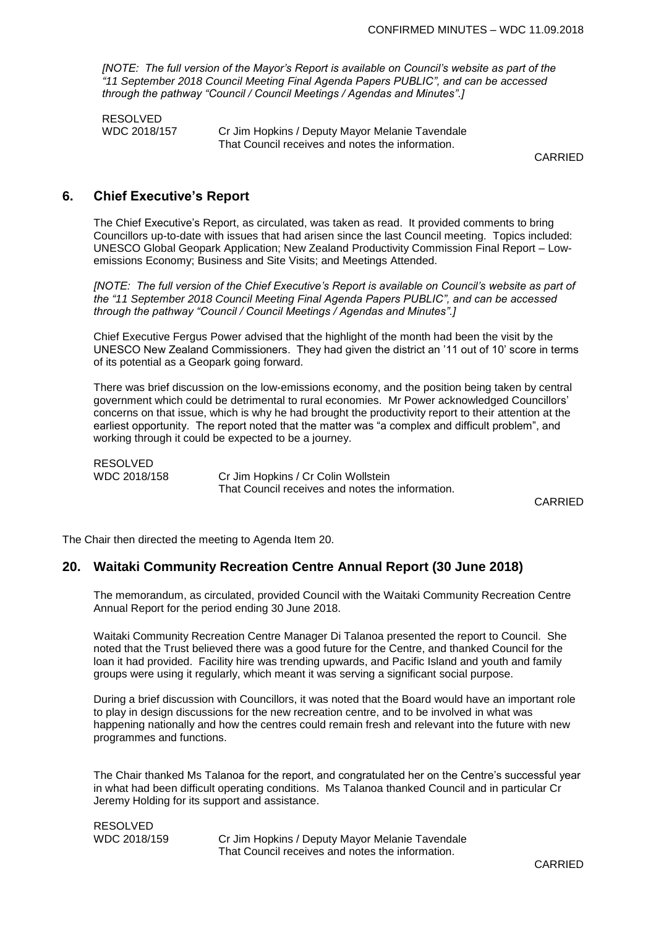*[NOTE: The full version of the Mayor's Report is available on Council's website as part of the "11 September 2018 Council Meeting Final Agenda Papers PUBLIC", and can be accessed through the pathway "Council / Council Meetings / Agendas and Minutes".]*

RESOLVED<br>WDC 2018/157

Cr Jim Hopkins / Deputy Mayor Melanie Tavendale That Council receives and notes the information.

CARRIED

## **6. Chief Executive's Report**

The Chief Executive's Report, as circulated, was taken as read. It provided comments to bring Councillors up-to-date with issues that had arisen since the last Council meeting. Topics included: UNESCO Global Geopark Application; New Zealand Productivity Commission Final Report – Lowemissions Economy; Business and Site Visits; and Meetings Attended.

*[NOTE: The full version of the Chief Executive's Report is available on Council's website as part of the "11 September 2018 Council Meeting Final Agenda Papers PUBLIC", and can be accessed through the pathway "Council / Council Meetings / Agendas and Minutes".]*

Chief Executive Fergus Power advised that the highlight of the month had been the visit by the UNESCO New Zealand Commissioners. They had given the district an '11 out of 10' score in terms of its potential as a Geopark going forward.

There was brief discussion on the low-emissions economy, and the position being taken by central government which could be detrimental to rural economies. Mr Power acknowledged Councillors' concerns on that issue, which is why he had brought the productivity report to their attention at the earliest opportunity. The report noted that the matter was "a complex and difficult problem", and working through it could be expected to be a journey.

RESOLVED

WDC 2018/158 Cr Jim Hopkins / Cr Colin Wollstein That Council receives and notes the information.

CARRIED

The Chair then directed the meeting to Agenda Item 20.

#### **20. Waitaki Community Recreation Centre Annual Report (30 June 2018)**

The memorandum, as circulated, provided Council with the Waitaki Community Recreation Centre Annual Report for the period ending 30 June 2018.

Waitaki Community Recreation Centre Manager Di Talanoa presented the report to Council. She noted that the Trust believed there was a good future for the Centre, and thanked Council for the loan it had provided. Facility hire was trending upwards, and Pacific Island and youth and family groups were using it regularly, which meant it was serving a significant social purpose.

During a brief discussion with Councillors, it was noted that the Board would have an important role to play in design discussions for the new recreation centre, and to be involved in what was happening nationally and how the centres could remain fresh and relevant into the future with new programmes and functions.

The Chair thanked Ms Talanoa for the report, and congratulated her on the Centre's successful year in what had been difficult operating conditions. Ms Talanoa thanked Council and in particular Cr Jeremy Holding for its support and assistance.

RESOLVED<br>WDC 2018/159

Cr Jim Hopkins / Deputy Mayor Melanie Tavendale That Council receives and notes the information.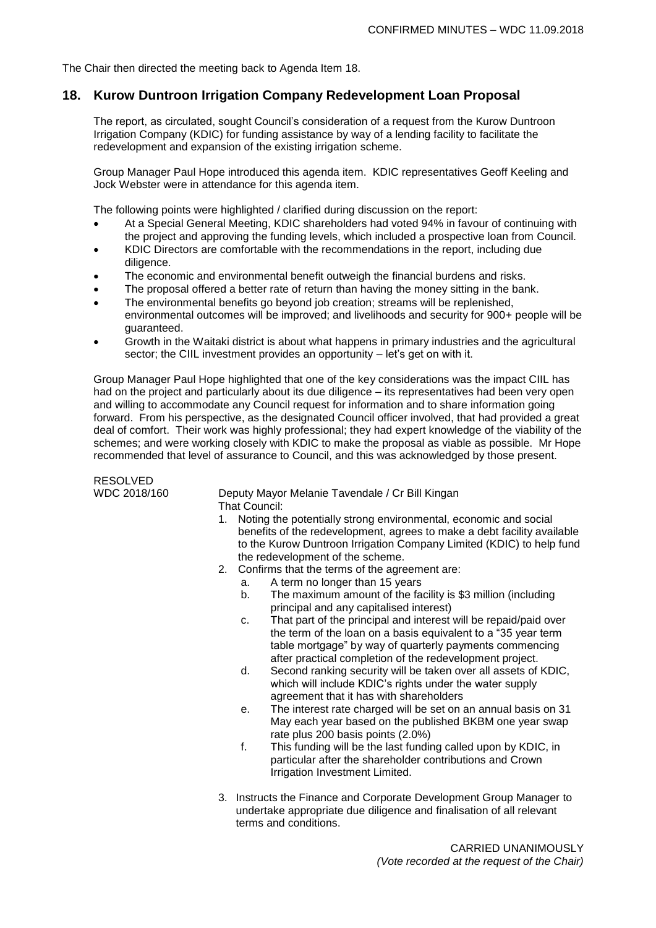The Chair then directed the meeting back to Agenda Item 18.

#### **18. Kurow Duntroon Irrigation Company Redevelopment Loan Proposal**

The report, as circulated, sought Council's consideration of a request from the Kurow Duntroon Irrigation Company (KDIC) for funding assistance by way of a lending facility to facilitate the redevelopment and expansion of the existing irrigation scheme.

Group Manager Paul Hope introduced this agenda item. KDIC representatives Geoff Keeling and Jock Webster were in attendance for this agenda item.

The following points were highlighted / clarified during discussion on the report:

- At a Special General Meeting, KDIC shareholders had voted 94% in favour of continuing with the project and approving the funding levels, which included a prospective loan from Council.
- KDIC Directors are comfortable with the recommendations in the report, including due diligence.
- The economic and environmental benefit outweigh the financial burdens and risks.
- The proposal offered a better rate of return than having the money sitting in the bank.
- The environmental benefits go beyond job creation; streams will be replenished, environmental outcomes will be improved; and livelihoods and security for 900+ people will be guaranteed.
- Growth in the Waitaki district is about what happens in primary industries and the agricultural sector; the CIIL investment provides an opportunity – let's get on with it.

Group Manager Paul Hope highlighted that one of the key considerations was the impact CIIL has had on the project and particularly about its due diligence – its representatives had been very open and willing to accommodate any Council request for information and to share information going forward. From his perspective, as the designated Council officer involved, that had provided a great deal of comfort. Their work was highly professional; they had expert knowledge of the viability of the schemes; and were working closely with KDIC to make the proposal as viable as possible. Mr Hope recommended that level of assurance to Council, and this was acknowledged by those present.

RESOLVED<br>WDC 2018/160 Deputy Mayor Melanie Tavendale / Cr Bill Kingan That Council:

- 1. Noting the potentially strong environmental, economic and social benefits of the redevelopment, agrees to make a debt facility available to the Kurow Duntroon Irrigation Company Limited (KDIC) to help fund the redevelopment of the scheme.
- 2. Confirms that the terms of the agreement are:
	- a. A term no longer than 15 years
	- b. The maximum amount of the facility is \$3 million (including principal and any capitalised interest)
	- c. That part of the principal and interest will be repaid/paid over the term of the loan on a basis equivalent to a "35 year term table mortgage" by way of quarterly payments commencing after practical completion of the redevelopment project.
	- d. Second ranking security will be taken over all assets of KDIC, which will include KDIC's rights under the water supply agreement that it has with shareholders
	- e. The interest rate charged will be set on an annual basis on 31 May each year based on the published BKBM one year swap rate plus 200 basis points (2.0%)
	- f. This funding will be the last funding called upon by KDIC, in particular after the shareholder contributions and Crown Irrigation Investment Limited.
- 3. Instructs the Finance and Corporate Development Group Manager to undertake appropriate due diligence and finalisation of all relevant terms and conditions.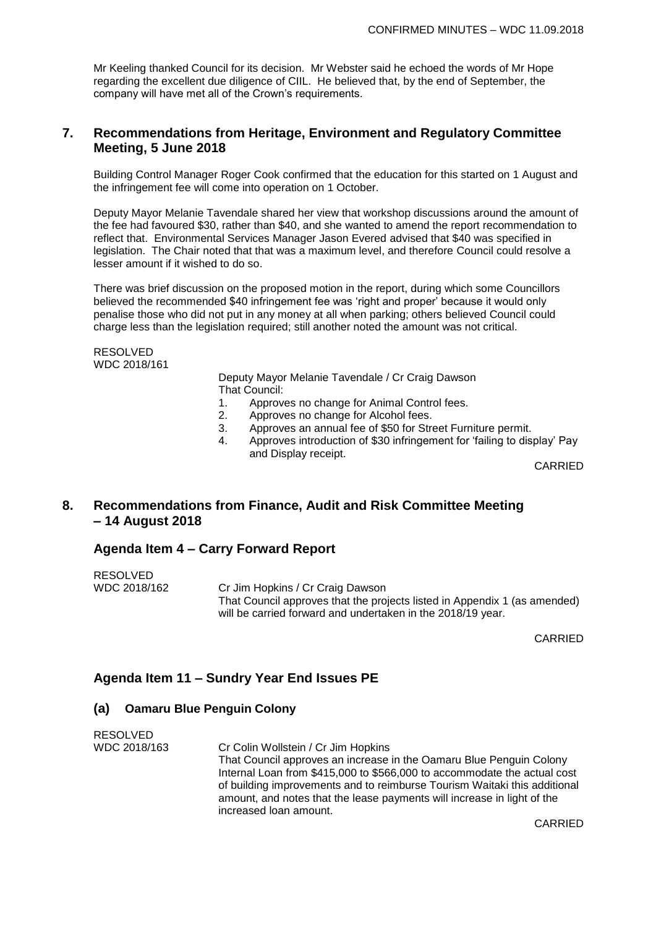Mr Keeling thanked Council for its decision. Mr Webster said he echoed the words of Mr Hope regarding the excellent due diligence of CIIL. He believed that, by the end of September, the company will have met all of the Crown's requirements.

## **7. Recommendations from Heritage, Environment and Regulatory Committee Meeting, 5 June 2018**

Building Control Manager Roger Cook confirmed that the education for this started on 1 August and the infringement fee will come into operation on 1 October.

Deputy Mayor Melanie Tavendale shared her view that workshop discussions around the amount of the fee had favoured \$30, rather than \$40, and she wanted to amend the report recommendation to reflect that. Environmental Services Manager Jason Evered advised that \$40 was specified in legislation. The Chair noted that that was a maximum level, and therefore Council could resolve a lesser amount if it wished to do so.

There was brief discussion on the proposed motion in the report, during which some Councillors believed the recommended \$40 infringement fee was 'right and proper' because it would only penalise those who did not put in any money at all when parking; others believed Council could charge less than the legislation required; still another noted the amount was not critical.

RESOLVED WDC 2018/161

> Deputy Mayor Melanie Tavendale / Cr Craig Dawson That Council:

- 1. Approves no change for Animal Control fees.
- 2. Approves no change for Alcohol fees.
- 3. Approves an annual fee of \$50 for Street Furniture permit.
- 4. Approves introduction of \$30 infringement for 'failing to display' Pay and Display receipt.

CARRIED

## **8. Recommendations from Finance, Audit and Risk Committee Meeting – 14 August 2018**

### **Agenda Item 4 – Carry Forward Report**

| RESOLVED     |                                                                           |
|--------------|---------------------------------------------------------------------------|
| WDC 2018/162 | Cr Jim Hopkins / Cr Craig Dawson                                          |
|              | That Council approves that the projects listed in Appendix 1 (as amended) |
|              | will be carried forward and undertaken in the 2018/19 year.               |

CARRIED

### **Agenda Item 11 – Sundry Year End Issues PE**

#### **(a) Oamaru Blue Penguin Colony**

RESOLVED WDC 2018/163 Cr Colin Wollstein / Cr Jim Hopkins That Council approves an increase in the Oamaru Blue Penguin Colony Internal Loan from \$415,000 to \$566,000 to accommodate the actual cost of building improvements and to reimburse Tourism Waitaki this additional amount, and notes that the lease payments will increase in light of the increased loan amount.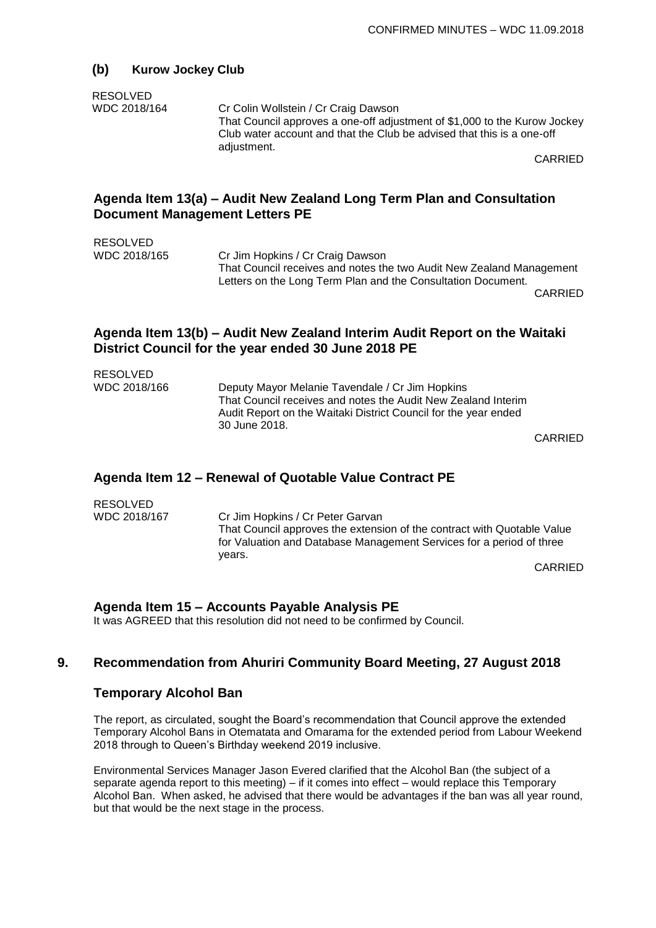#### **(b) Kurow Jockey Club**

#### RESOLVED

WDC 2018/164 Cr Colin Wollstein / Cr Craig Dawson That Council approves a one-off adjustment of \$1,000 to the Kurow Jockey Club water account and that the Club be advised that this is a one-off adjustment.

CARRIED

## **Agenda Item 13(a) – Audit New Zealand Long Term Plan and Consultation Document Management Letters PE**

RESOLVED

WDC 2018/165 Cr Jim Hopkins / Cr Craig Dawson That Council receives and notes the two Audit New Zealand Management Letters on the Long Term Plan and the Consultation Document.

CARRIED

## **Agenda Item 13(b) – Audit New Zealand Interim Audit Report on the Waitaki District Council for the year ended 30 June 2018 PE**

| <b>RESOLVED</b> |                                                                                                                                                   |  |
|-----------------|---------------------------------------------------------------------------------------------------------------------------------------------------|--|
| WDC 2018/166    | Deputy Mayor Melanie Tavendale / Cr Jim Hopkins                                                                                                   |  |
|                 | That Council receives and notes the Audit New Zealand Interim<br>Audit Report on the Waitaki District Council for the year ended<br>30 June 2018. |  |
|                 |                                                                                                                                                   |  |

CARRIED

## **Agenda Item 12 – Renewal of Quotable Value Contract PE**

| <b>RESOLVED</b> |                                                                                                                                                 |
|-----------------|-------------------------------------------------------------------------------------------------------------------------------------------------|
| WDC 2018/167    | Cr Jim Hopkins / Cr Peter Garvan                                                                                                                |
|                 | That Council approves the extension of the contract with Quotable Value<br>for Valuation and Database Management Services for a period of three |
|                 | years.                                                                                                                                          |
|                 | CARRIFI                                                                                                                                         |

CARRIED

## **Agenda Item 15 – Accounts Payable Analysis PE**

It was AGREED that this resolution did not need to be confirmed by Council.

## **9. Recommendation from Ahuriri Community Board Meeting, 27 August 2018**

#### **Temporary Alcohol Ban**

The report, as circulated, sought the Board's recommendation that Council approve the extended Temporary Alcohol Bans in Otematata and Omarama for the extended period from Labour Weekend 2018 through to Queen's Birthday weekend 2019 inclusive.

Environmental Services Manager Jason Evered clarified that the Alcohol Ban (the subject of a separate agenda report to this meeting) – if it comes into effect – would replace this Temporary Alcohol Ban. When asked, he advised that there would be advantages if the ban was all year round, but that would be the next stage in the process.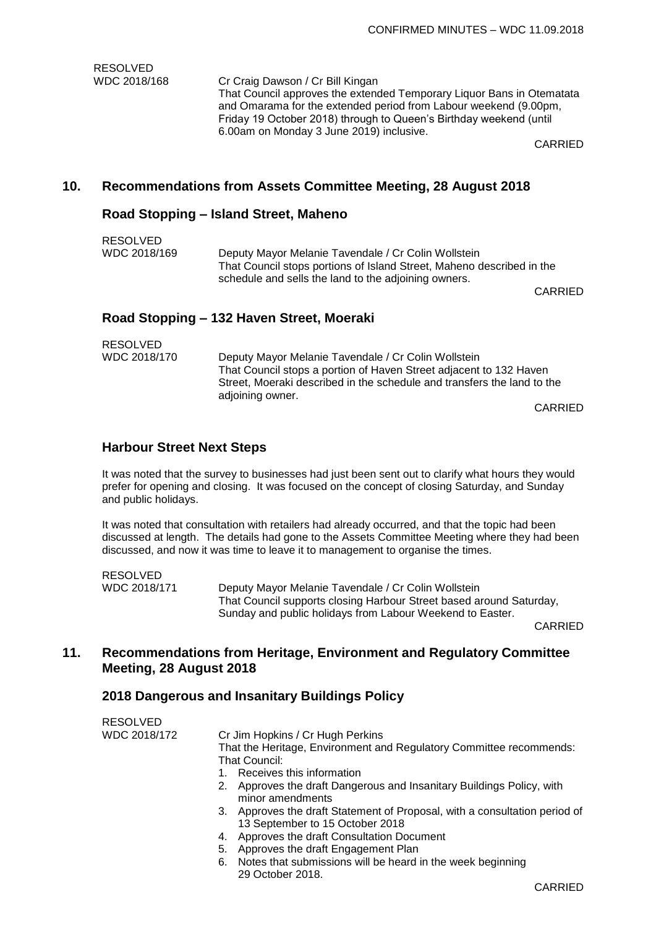RESOLVED WDC 2018/168 Cr Craig Dawson / Cr Bill Kingan That Council approves the extended Temporary Liquor Bans in Otematata and Omarama for the extended period from Labour weekend (9.00pm, Friday 19 October 2018) through to Queen's Birthday weekend (until 6.00am on Monday 3 June 2019) inclusive.

CARRIED

#### **10. Recommendations from Assets Committee Meeting, 28 August 2018**

#### **Road Stopping – Island Street, Maheno**

| <b>RESOLVED</b><br>WDC 2018/169 | Deputy Mayor Melanie Tavendale / Cr Colin Wollstein<br>That Council stops portions of Island Street, Maheno described in the<br>schedule and sells the land to the adjoining owners. |         |
|---------------------------------|--------------------------------------------------------------------------------------------------------------------------------------------------------------------------------------|---------|
|                                 | Road Stopping – 132 Haven Street, Moeraki                                                                                                                                            | CARRIED |

| <b>RESOLVED</b> |  |
|-----------------|--|
| $MDC$ $2040/17$ |  |

WDC 2018/170 Deputy Mayor Melanie Tavendale / Cr Colin Wollstein That Council stops a portion of Haven Street adjacent to 132 Haven Street, Moeraki described in the schedule and transfers the land to the adjoining owner.

CARRIED

#### **Harbour Street Next Steps**

It was noted that the survey to businesses had just been sent out to clarify what hours they would prefer for opening and closing. It was focused on the concept of closing Saturday, and Sunday and public holidays.

It was noted that consultation with retailers had already occurred, and that the topic had been discussed at length. The details had gone to the Assets Committee Meeting where they had been discussed, and now it was time to leave it to management to organise the times.

RESOLVED WDC 2018/171 Deputy Mayor Melanie Tavendale / Cr Colin Wollstein That Council supports closing Harbour Street based around Saturday, Sunday and public holidays from Labour Weekend to Easter.

CARRIED

## **11. Recommendations from Heritage, Environment and Regulatory Committee Meeting, 28 August 2018**

#### **2018 Dangerous and Insanitary Buildings Policy**

| <b>RESOLVED</b> |                                                                                           |
|-----------------|-------------------------------------------------------------------------------------------|
| WDC 2018/172    | Cr Jim Hopkins / Cr Hugh Perkins                                                          |
|                 | That the Heritage, Environment and Regulatory Committee recommends:                       |
|                 | That Council:                                                                             |
|                 | Receives this information<br>1.                                                           |
|                 | 2. Approves the draft Dangerous and Insanitary Buildings Policy, with<br>minor amendments |
|                 | 3. Approves the draft Statement of Proposal, with a consultation period of                |
|                 | 13 September to 15 October 2018                                                           |
|                 | Approves the draft Consultation Document<br>4.                                            |
|                 | 5. Approves the draft Engagement Plan                                                     |

6. Notes that submissions will be heard in the week beginning 29 October 2018.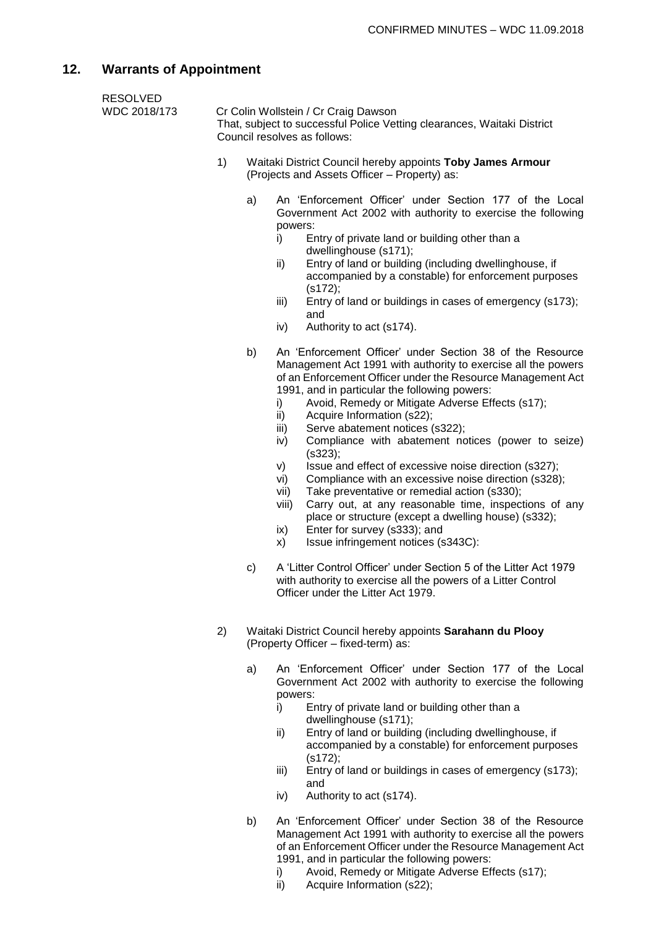# **12. Warrants of Appointment**

| <b>RESOLVED</b><br>WDC 2018/173 |    | Cr Colin Wollstein / Cr Craig Dawson<br>That, subject to successful Police Vetting clearances, Waitaki District<br>Council resolves as follows: |                                                                                                                                                                                                                                                                                                                                                                                                                                                                                                                                                                                                                                                                                                                                                                                                                                                                  |  |
|---------------------------------|----|-------------------------------------------------------------------------------------------------------------------------------------------------|------------------------------------------------------------------------------------------------------------------------------------------------------------------------------------------------------------------------------------------------------------------------------------------------------------------------------------------------------------------------------------------------------------------------------------------------------------------------------------------------------------------------------------------------------------------------------------------------------------------------------------------------------------------------------------------------------------------------------------------------------------------------------------------------------------------------------------------------------------------|--|
|                                 | 1) |                                                                                                                                                 | Waitaki District Council hereby appoints Toby James Armour<br>(Projects and Assets Officer - Property) as:                                                                                                                                                                                                                                                                                                                                                                                                                                                                                                                                                                                                                                                                                                                                                       |  |
|                                 |    | a)                                                                                                                                              | An 'Enforcement Officer' under Section 177 of the Local<br>Government Act 2002 with authority to exercise the following<br>powers:<br>Entry of private land or building other than a<br>i)<br>dwellinghouse (s171);<br>Entry of land or building (including dwellinghouse, if<br>ii)<br>accompanied by a constable) for enforcement purposes<br>(s172);<br>Entry of land or buildings in cases of emergency (s173);<br>iii)<br>and<br>Authority to act (s174).<br>iv)                                                                                                                                                                                                                                                                                                                                                                                            |  |
|                                 |    | b)                                                                                                                                              | An 'Enforcement Officer' under Section 38 of the Resource<br>Management Act 1991 with authority to exercise all the powers<br>of an Enforcement Officer under the Resource Management Act<br>1991, and in particular the following powers:<br>Avoid, Remedy or Mitigate Adverse Effects (s17);<br>i)<br>ii)<br>Acquire Information (s22);<br>Serve abatement notices (s322);<br>iii)<br>Compliance with abatement notices (power to seize)<br>iv)<br>(s323);<br>Issue and effect of excessive noise direction (s327);<br>V)<br>Compliance with an excessive noise direction (s328);<br>vi)<br>Take preventative or remedial action (s330);<br>vii)<br>Carry out, at any reasonable time, inspections of any<br>viii)<br>place or structure (except a dwelling house) (s332);<br>Enter for survey (s333); and<br>ix)<br>Issue infringement notices (s343C):<br>X) |  |
|                                 |    | C)                                                                                                                                              | A 'Litter Control Officer' under Section 5 of the Litter Act 1979<br>with authority to exercise all the powers of a Litter Control<br>Officer under the Litter Act 1979.                                                                                                                                                                                                                                                                                                                                                                                                                                                                                                                                                                                                                                                                                         |  |
|                                 | 2) |                                                                                                                                                 | Waitaki District Council hereby appoints Sarahann du Plooy<br>(Property Officer - fixed-term) as:                                                                                                                                                                                                                                                                                                                                                                                                                                                                                                                                                                                                                                                                                                                                                                |  |
|                                 |    | a)                                                                                                                                              | An 'Enforcement Officer' under Section 177 of the Local<br>Government Act 2002 with authority to exercise the following<br>powers:<br>Entry of private land or building other than a<br>i)<br>dwellinghouse (s171);<br>Entry of land or building (including dwellinghouse, if<br>ii)<br>accompanied by a constable) for enforcement purposes<br>(s172);                                                                                                                                                                                                                                                                                                                                                                                                                                                                                                          |  |

- iii) Entry of land or buildings in cases of emergency (s173); and
- iv) Authority to act (s174).
- b) An 'Enforcement Officer' under Section 38 of the Resource Management Act 1991 with authority to exercise all the powers of an Enforcement Officer under the Resource Management Act 1991, and in particular the following powers:
	- i) Avoid, Remedy or Mitigate Adverse Effects (s17);
	- ii) Acquire Information (s22);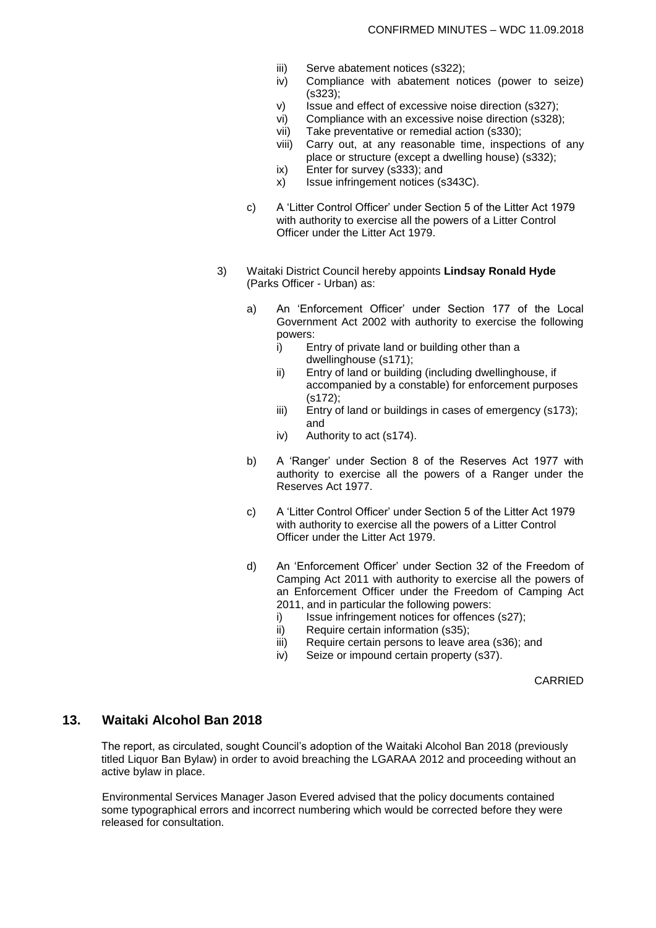- iii) Serve abatement notices (s322);
- iv) Compliance with abatement notices (power to seize) (s323);
- v) Issue and effect of excessive noise direction (s327);
- vi) Compliance with an excessive noise direction (s328);
- vii) Take preventative or remedial action (s330);
- viii) Carry out, at any reasonable time, inspections of any place or structure (except a dwelling house) (s332);
- ix) Enter for survey (s333); and
- x) Issue infringement notices (s343C).
- c) A 'Litter Control Officer' under Section 5 of the Litter Act 1979 with authority to exercise all the powers of a Litter Control Officer under the Litter Act 1979.
- 3) Waitaki District Council hereby appoints **Lindsay Ronald Hyde**  (Parks Officer - Urban) as:
	- a) An 'Enforcement Officer' under Section 177 of the Local Government Act 2002 with authority to exercise the following powers:
		- i) Entry of private land or building other than a dwellinghouse (s171);
		- ii) Entry of land or building (including dwellinghouse, if accompanied by a constable) for enforcement purposes (s172);
		- iii) Entry of land or buildings in cases of emergency (s173); and
		- iv) Authority to act (s174).
	- b) A 'Ranger' under Section 8 of the Reserves Act 1977 with authority to exercise all the powers of a Ranger under the Reserves Act 1977.
	- c) A 'Litter Control Officer' under Section 5 of the Litter Act 1979 with authority to exercise all the powers of a Litter Control Officer under the Litter Act 1979.
	- d) An 'Enforcement Officer' under Section 32 of the Freedom of Camping Act 2011 with authority to exercise all the powers of an Enforcement Officer under the Freedom of Camping Act 2011, and in particular the following powers:
		- i) Issue infringement notices for offences (s27);
		- ii) Require certain information (s35);
		- iii) Require certain persons to leave area (s36); and
		- iv) Seize or impound certain property (s37).

CARRIED

## **13. Waitaki Alcohol Ban 2018**

The report, as circulated, sought Council's adoption of the Waitaki Alcohol Ban 2018 (previously titled Liquor Ban Bylaw) in order to avoid breaching the LGARAA 2012 and proceeding without an active bylaw in place.

Environmental Services Manager Jason Evered advised that the policy documents contained some typographical errors and incorrect numbering which would be corrected before they were released for consultation.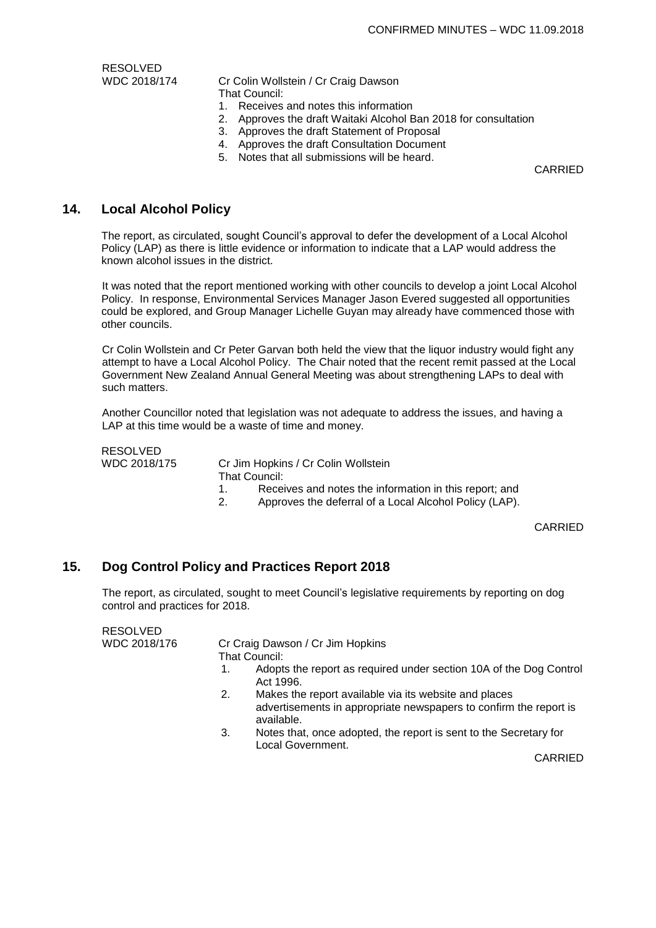RESOLVED

WDC 2018/174 Cr Colin Wollstein / Cr Craig Dawson That Council:

- 1. Receives and notes this information
- 2. Approves the draft Waitaki Alcohol Ban 2018 for consultation
- 3. Approves the draft Statement of Proposal
- 4. Approves the draft Consultation Document
- 5. Notes that all submissions will be heard.

CARRIED

#### **14. Local Alcohol Policy**

The report, as circulated, sought Council's approval to defer the development of a Local Alcohol Policy (LAP) as there is little evidence or information to indicate that a LAP would address the known alcohol issues in the district.

It was noted that the report mentioned working with other councils to develop a joint Local Alcohol Policy. In response, Environmental Services Manager Jason Evered suggested all opportunities could be explored, and Group Manager Lichelle Guyan may already have commenced those with other councils.

Cr Colin Wollstein and Cr Peter Garvan both held the view that the liquor industry would fight any attempt to have a Local Alcohol Policy. The Chair noted that the recent remit passed at the Local Government New Zealand Annual General Meeting was about strengthening LAPs to deal with such matters.

Another Councillor noted that legislation was not adequate to address the issues, and having a LAP at this time would be a waste of time and money.

RESOLVED

WDC 2018/175 Cr Jim Hopkins / Cr Colin Wollstein That Council:

- 1. Receives and notes the information in this report; and
- 2. Approves the deferral of a Local Alcohol Policy (LAP).

CARRIED

#### **15. Dog Control Policy and Practices Report 2018**

The report, as circulated, sought to meet Council's legislative requirements by reporting on dog control and practices for 2018.

| <b>RESOLVED</b> |               |                                                                                                                            |
|-----------------|---------------|----------------------------------------------------------------------------------------------------------------------------|
| WDC 2018/176    |               | Cr Craig Dawson / Cr Jim Hopkins                                                                                           |
|                 | That Council: |                                                                                                                            |
|                 | Act 1996.     | Adopts the report as required under section 10A of the Dog Control                                                         |
|                 | 2.            | Makes the report available via its website and places<br>advertisements in appropriate newspapers to confirm the report is |

- available. 3. Notes that, once adopted, the report is sent to the Secretary for
	- Local Government.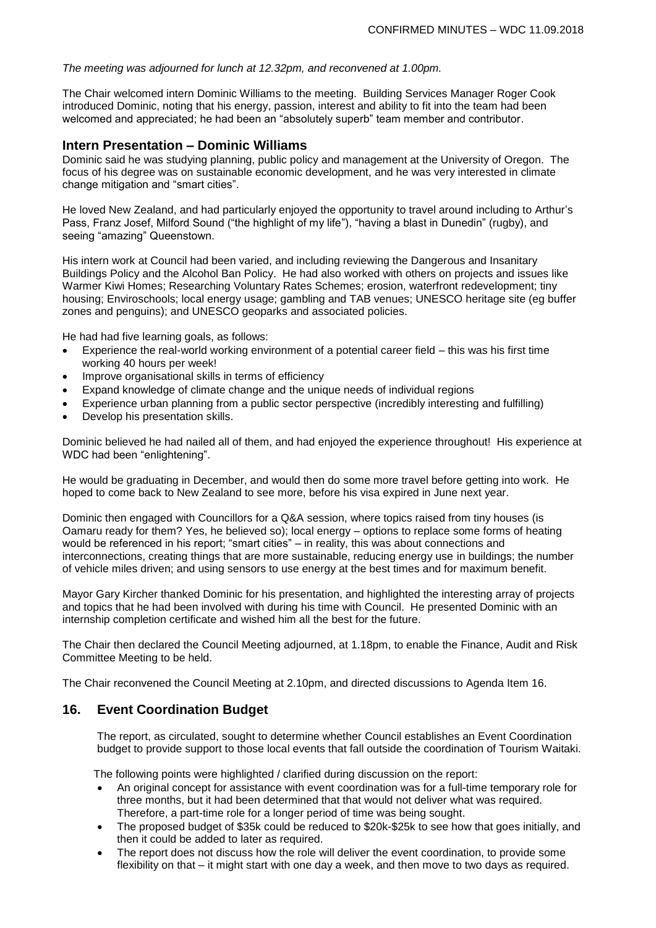#### *The meeting was adjourned for lunch at 12.32pm, and reconvened at 1.00pm.*

The Chair welcomed intern Dominic Williams to the meeting. Building Services Manager Roger Cook introduced Dominic, noting that his energy, passion, interest and ability to fit into the team had been welcomed and appreciated; he had been an "absolutely superb" team member and contributor.

#### **Intern Presentation – Dominic Williams**

Dominic said he was studying planning, public policy and management at the University of Oregon. The focus of his degree was on sustainable economic development, and he was very interested in climate change mitigation and "smart cities".

He loved New Zealand, and had particularly enjoyed the opportunity to travel around including to Arthur's Pass, Franz Josef, Milford Sound ("the highlight of my life"), "having a blast in Dunedin" (rugby), and seeing "amazing" Queenstown.

His intern work at Council had been varied, and including reviewing the Dangerous and Insanitary Buildings Policy and the Alcohol Ban Policy. He had also worked with others on projects and issues like Warmer Kiwi Homes; Researching Voluntary Rates Schemes; erosion, waterfront redevelopment; tiny housing; Enviroschools; local energy usage; gambling and TAB venues; UNESCO heritage site (eg buffer zones and penguins); and UNESCO geoparks and associated policies.

He had had five learning goals, as follows:

- Experience the real-world working environment of a potential career field  $-$  this was his first time working 40 hours per week!
- Improve organisational skills in terms of efficiency
- Expand knowledge of climate change and the unique needs of individual regions
- Experience urban planning from a public sector perspective (incredibly interesting and fulfilling)
- Develop his presentation skills.

Dominic believed he had nailed all of them, and had enjoyed the experience throughout! His experience at WDC had been "enlightening".

He would be graduating in December, and would then do some more travel before getting into work. He hoped to come back to New Zealand to see more, before his visa expired in June next year.

Dominic then engaged with Councillors for a Q&A session, where topics raised from tiny houses (is Oamaru ready for them? Yes, he believed so); local energy – options to replace some forms of heating would be referenced in his report; "smart cities" – in reality, this was about connections and interconnections, creating things that are more sustainable, reducing energy use in buildings; the number of vehicle miles driven; and using sensors to use energy at the best times and for maximum benefit.

Mayor Gary Kircher thanked Dominic for his presentation, and highlighted the interesting array of projects and topics that he had been involved with during his time with Council. He presented Dominic with an internship completion certificate and wished him all the best for the future.

The Chair then declared the Council Meeting adjourned, at 1.18pm, to enable the Finance, Audit and Risk Committee Meeting to be held.

The Chair reconvened the Council Meeting at 2.10pm, and directed discussions to Agenda Item 16.

#### **16. Event Coordination Budget**

The report, as circulated, sought to determine whether Council establishes an Event Coordination budget to provide support to those local events that fall outside the coordination of Tourism Waitaki.

The following points were highlighted / clarified during discussion on the report:

- An original concept for assistance with event coordination was for a full-time temporary role for three months, but it had been determined that that would not deliver what was required. Therefore, a part-time role for a longer period of time was being sought.
- The proposed budget of \$35k could be reduced to \$20k-\$25k to see how that goes initially, and then it could be added to later as required.
- The report does not discuss how the role will deliver the event coordination, to provide some flexibility on that – it might start with one day a week, and then move to two days as required.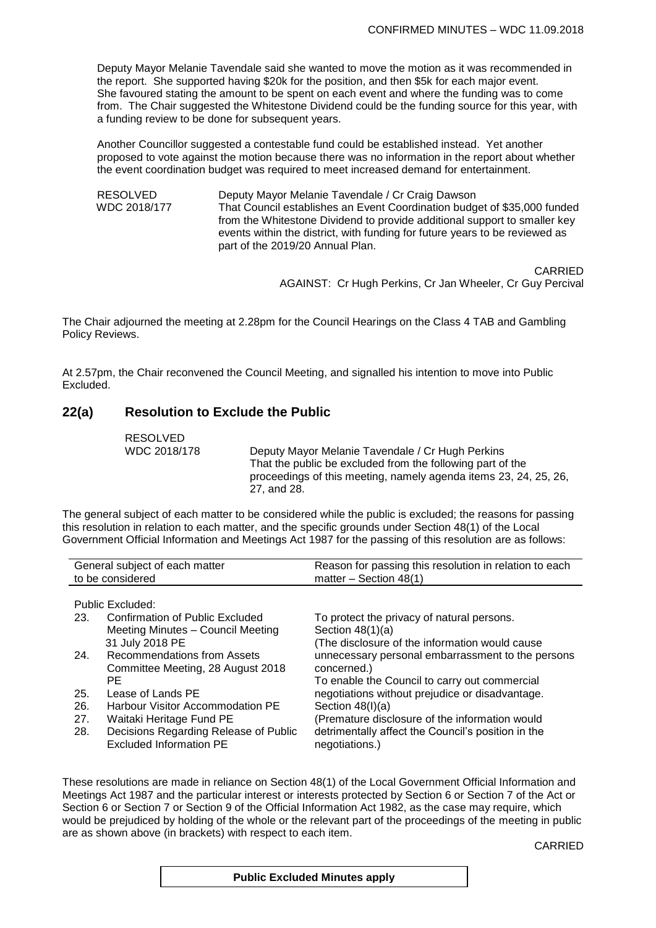Deputy Mayor Melanie Tavendale said she wanted to move the motion as it was recommended in the report. She supported having \$20k for the position, and then \$5k for each major event. She favoured stating the amount to be spent on each event and where the funding was to come from. The Chair suggested the Whitestone Dividend could be the funding source for this year, with a funding review to be done for subsequent years.

Another Councillor suggested a contestable fund could be established instead. Yet another proposed to vote against the motion because there was no information in the report about whether the event coordination budget was required to meet increased demand for entertainment.

RESOLVED Deputy Mayor Melanie Tavendale / Cr Craig Dawson WDC 2018/177 That Council establishes an Event Coordination budget of \$35,000 funded from the Whitestone Dividend to provide additional support to smaller key events within the district, with funding for future years to be reviewed as part of the 2019/20 Annual Plan.

> CARRIED AGAINST: Cr Hugh Perkins, Cr Jan Wheeler, Cr Guy Percival

The Chair adjourned the meeting at 2.28pm for the Council Hearings on the Class 4 TAB and Gambling Policy Reviews.

At 2.57pm, the Chair reconvened the Council Meeting, and signalled his intention to move into Public Excluded.

### **22(a) Resolution to Exclude the Public**

RESOLVED

WDC 2018/178 Deputy Mayor Melanie Tavendale / Cr Hugh Perkins That the public be excluded from the following part of the proceedings of this meeting, namely agenda items 23, 24, 25, 26, 27, and 28.

The general subject of each matter to be considered while the public is excluded; the reasons for passing this resolution in relation to each matter, and the specific grounds under Section 48(1) of the Local Government Official Information and Meetings Act 1987 for the passing of this resolution are as follows:

| General subject of each matter<br>to be considered |                                                                                                     | Reason for passing this resolution in relation to each<br>matter $-$ Section 48(1)                                     |
|----------------------------------------------------|-----------------------------------------------------------------------------------------------------|------------------------------------------------------------------------------------------------------------------------|
| 23.                                                | Public Excluded:<br>Confirmation of Public Excluded                                                 | To protect the privacy of natural persons.                                                                             |
|                                                    | Meeting Minutes - Council Meeting<br>31 July 2018 PE                                                | Section $48(1)(a)$<br>(The disclosure of the information would cause                                                   |
| 24.                                                | Recommendations from Assets<br>Committee Meeting, 28 August 2018                                    | unnecessary personal embarrassment to the persons<br>concerned.)                                                       |
|                                                    | PF.                                                                                                 | To enable the Council to carry out commercial                                                                          |
| 25.                                                | Lease of Lands PE                                                                                   | negotiations without prejudice or disadvantage.                                                                        |
| 26.                                                | Harbour Visitor Accommodation PE                                                                    | Section $48(l)(a)$                                                                                                     |
| 27.<br>28.                                         | Waitaki Heritage Fund PE<br>Decisions Regarding Release of Public<br><b>Excluded Information PE</b> | (Premature disclosure of the information would<br>detrimentally affect the Council's position in the<br>negotiations.) |

These resolutions are made in reliance on Section 48(1) of the Local Government Official Information and Meetings Act 1987 and the particular interest or interests protected by Section 6 or Section 7 of the Act or Section 6 or Section 7 or Section 9 of the Official Information Act 1982, as the case may require, which would be prejudiced by holding of the whole or the relevant part of the proceedings of the meeting in public are as shown above (in brackets) with respect to each item.

**Public Excluded Minutes apply**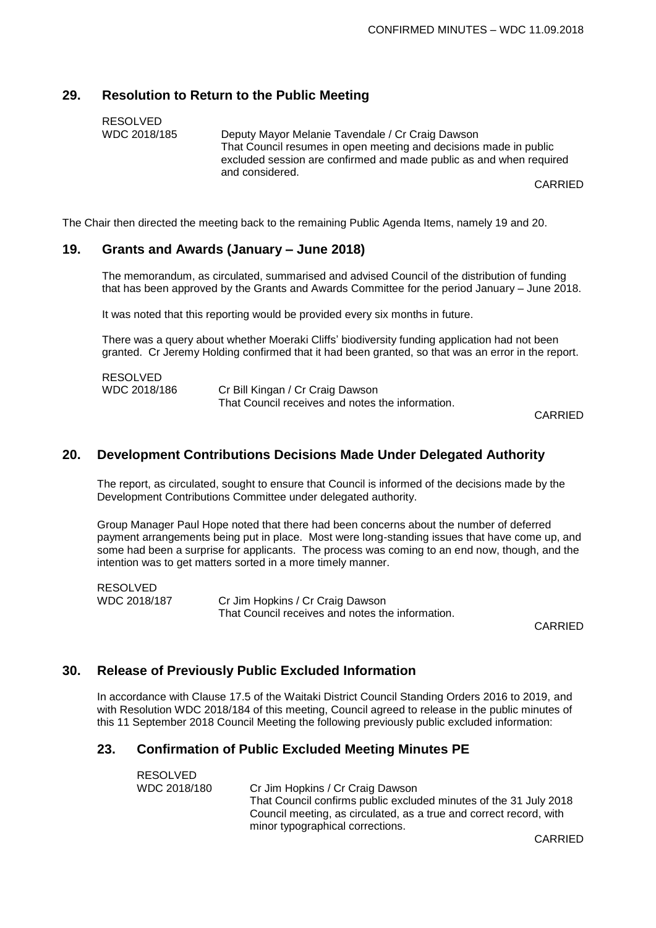## **29. Resolution to Return to the Public Meeting**

RESOLVED

WDC 2018/185 Deputy Mayor Melanie Tavendale / Cr Craig Dawson That Council resumes in open meeting and decisions made in public excluded session are confirmed and made public as and when required and considered.

CARRIED

The Chair then directed the meeting back to the remaining Public Agenda Items, namely 19 and 20.

#### **19. Grants and Awards (January – June 2018)**

The memorandum, as circulated, summarised and advised Council of the distribution of funding that has been approved by the Grants and Awards Committee for the period January – June 2018.

It was noted that this reporting would be provided every six months in future.

There was a query about whether Moeraki Cliffs' biodiversity funding application had not been granted. Cr Jeremy Holding confirmed that it had been granted, so that was an error in the report.

| <b>RESOLVED</b> |                                                  |
|-----------------|--------------------------------------------------|
| WDC 2018/186    | Cr Bill Kingan / Cr Craig Dawson                 |
|                 | That Council receives and notes the information. |

CARRIED

#### **20. Development Contributions Decisions Made Under Delegated Authority**

The report, as circulated, sought to ensure that Council is informed of the decisions made by the Development Contributions Committee under delegated authority.

Group Manager Paul Hope noted that there had been concerns about the number of deferred payment arrangements being put in place. Most were long-standing issues that have come up, and some had been a surprise for applicants. The process was coming to an end now, though, and the intention was to get matters sorted in a more timely manner.

RESOLVED WDC 2018/187 Cr Jim Hopkins / Cr Craig Dawson That Council receives and notes the information.

**CARRIED** 

## **30. Release of Previously Public Excluded Information**

RESOLVED

In accordance with Clause 17.5 of the Waitaki District Council Standing Orders 2016 to 2019, and with Resolution WDC 2018/184 of this meeting, Council agreed to release in the public minutes of this 11 September 2018 Council Meeting the following previously public excluded information:

### **23. Confirmation of Public Excluded Meeting Minutes PE**

| 11 LUUL V LU |                                                                    |
|--------------|--------------------------------------------------------------------|
| WDC 2018/180 | Cr Jim Hopkins / Cr Craig Dawson                                   |
|              | That Council confirms public excluded minutes of the 31 July 2018  |
|              | Council meeting, as circulated, as a true and correct record, with |
|              | minor typographical corrections.                                   |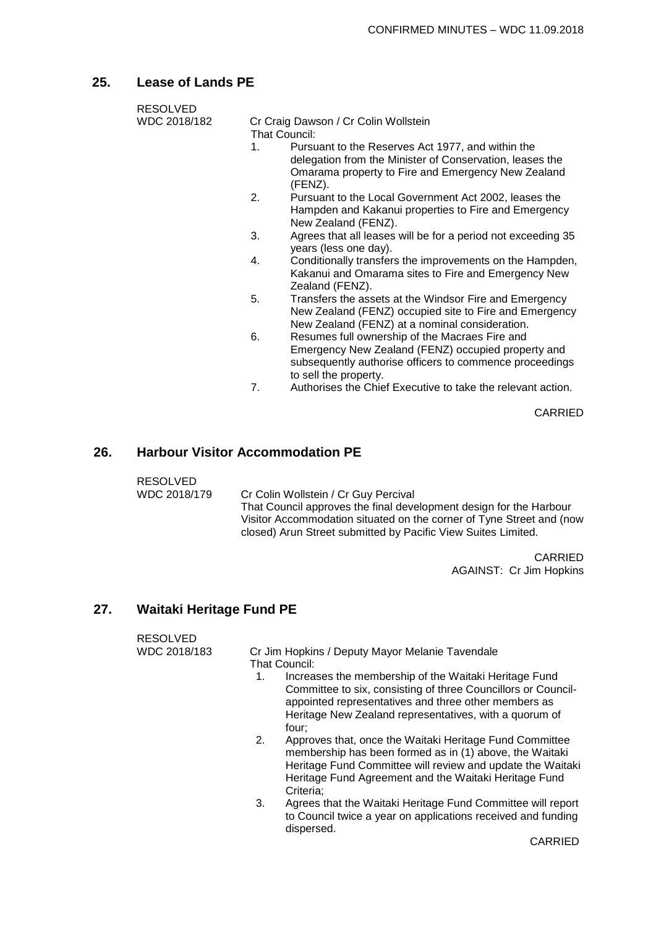## **25. Lease of Lands PE**

| <b>RESOLVED</b> |    |                                                                                                                                                                                          |
|-----------------|----|------------------------------------------------------------------------------------------------------------------------------------------------------------------------------------------|
| WDC 2018/182    |    | Cr Craig Dawson / Cr Colin Wollstein<br>That Council:                                                                                                                                    |
|                 | 1. | Pursuant to the Reserves Act 1977, and within the<br>delegation from the Minister of Conservation, leases the<br>Omarama property to Fire and Emergency New Zealand<br>(FENZ).           |
|                 | 2. | Pursuant to the Local Government Act 2002, leases the<br>Hampden and Kakanui properties to Fire and Emergency<br>New Zealand (FENZ).                                                     |
|                 | 3. | Agrees that all leases will be for a period not exceeding 35<br>years (less one day).                                                                                                    |
|                 | 4. | Conditionally transfers the improvements on the Hampden,<br>Kakanui and Omarama sites to Fire and Emergency New<br>Zealand (FENZ).                                                       |
|                 | 5. | Transfers the assets at the Windsor Fire and Emergency<br>New Zealand (FENZ) occupied site to Fire and Emergency<br>New Zealand (FENZ) at a nominal consideration.                       |
|                 | 6. | Resumes full ownership of the Macraes Fire and<br>Emergency New Zealand (FENZ) occupied property and<br>subsequently authorise officers to commence proceedings<br>to sell the property. |
|                 | 7. | Authorises the Chief Executive to take the relevant action.                                                                                                                              |

CARRIED

#### **26. Harbour Visitor Accommodation PE**

RESOLVED

WDC 2018/179 Cr Colin Wollstein / Cr Guy Percival That Council approves the final development design for the Harbour Visitor Accommodation situated on the corner of Tyne Street and (now closed) Arun Street submitted by Pacific View Suites Limited.

> CARRIED AGAINST: Cr Jim Hopkins

### **27. Waitaki Heritage Fund PE**

# RESOLVED<br>WDC 2018/183

Cr Jim Hopkins / Deputy Mayor Melanie Tavendale That Council:

- 1. Increases the membership of the Waitaki Heritage Fund Committee to six, consisting of three Councillors or Councilappointed representatives and three other members as Heritage New Zealand representatives, with a quorum of four;
- 2. Approves that, once the Waitaki Heritage Fund Committee membership has been formed as in (1) above, the Waitaki Heritage Fund Committee will review and update the Waitaki Heritage Fund Agreement and the Waitaki Heritage Fund Criteria;
- 3. Agrees that the Waitaki Heritage Fund Committee will report to Council twice a year on applications received and funding dispersed.